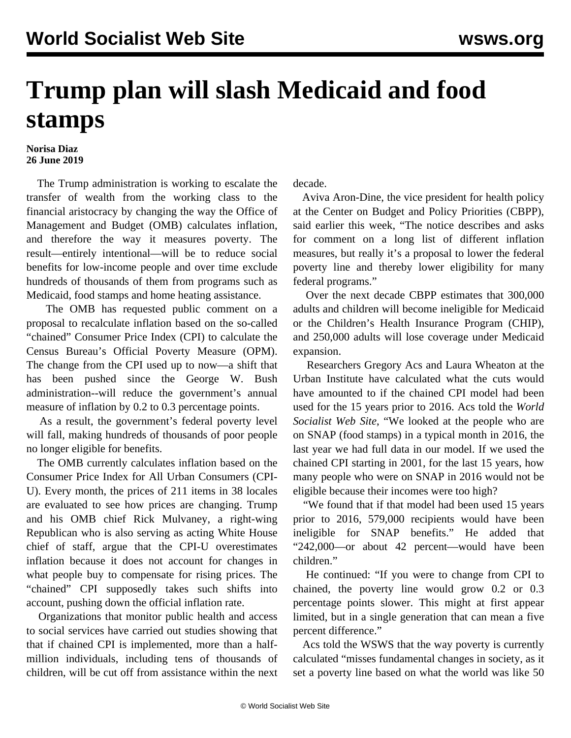## **Trump plan will slash Medicaid and food stamps**

## **Norisa Diaz 26 June 2019**

 The Trump administration is working to escalate the transfer of wealth from the working class to the financial aristocracy by changing the way the Office of Management and Budget (OMB) calculates inflation, and therefore the way it measures poverty. The result—entirely intentional—will be to reduce social benefits for low-income people and over time exclude hundreds of thousands of them from programs such as Medicaid, food stamps and home heating assistance.

 The OMB has requested public comment on a proposal to recalculate inflation based on the so-called "chained" Consumer Price Index (CPI) to calculate the Census Bureau's Official Poverty Measure (OPM). The change from the CPI used up to now—a shift that has been pushed since the George W. Bush administration--will reduce the government's annual measure of inflation by 0.2 to 0.3 percentage points.

 As a result, the government's federal poverty level will fall, making hundreds of thousands of poor people no longer eligible for benefits.

 The OMB currently calculates inflation based on the Consumer Price Index for All Urban Consumers (CPI-U). Every month, the prices of 211 items in 38 locales are evaluated to see how prices are changing. Trump and his OMB chief Rick Mulvaney, a right-wing Republican who is also serving as acting White House chief of staff, argue that the CPI-U overestimates inflation because it does not account for changes in what people buy to compensate for rising prices. The "chained" CPI supposedly takes such shifts into account, pushing down the official inflation rate.

 Organizations that monitor public health and access to social services have carried out studies showing that that if chained CPI is implemented, more than a halfmillion individuals, including tens of thousands of children, will be cut off from assistance within the next decade.

 Aviva Aron-Dine, the vice president for health policy at the Center on Budget and Policy Priorities (CBPP), said earlier this week, "The notice describes and asks for comment on a long list of different inflation measures, but really it's a proposal to lower the federal poverty line and thereby lower eligibility for many federal programs."

 Over the next decade CBPP estimates that 300,000 adults and children will become ineligible for Medicaid or the Children's Health Insurance Program (CHIP), and 250,000 adults will lose coverage under Medicaid expansion.

 Researchers Gregory Acs and Laura Wheaton at the Urban Institute have calculated what the cuts would have amounted to if the chained CPI model had been used for the 15 years prior to 2016. Acs told the *World Socialist Web Site*, "We looked at the people who are on SNAP (food stamps) in a typical month in 2016, the last year we had full data in our model. If we used the chained CPI starting in 2001, for the last 15 years, how many people who were on SNAP in 2016 would not be eligible because their incomes were too high?

 "We found that if that model had been used 15 years prior to 2016, 579,000 recipients would have been ineligible for SNAP benefits." He added that "242,000—or about 42 percent—would have been children."

 He continued: "If you were to change from CPI to chained, the poverty line would grow 0.2 or 0.3 percentage points slower. This might at first appear limited, but in a single generation that can mean a five percent difference."

 Acs told the WSWS that the way poverty is currently calculated "misses fundamental changes in society, as it set a poverty line based on what the world was like 50